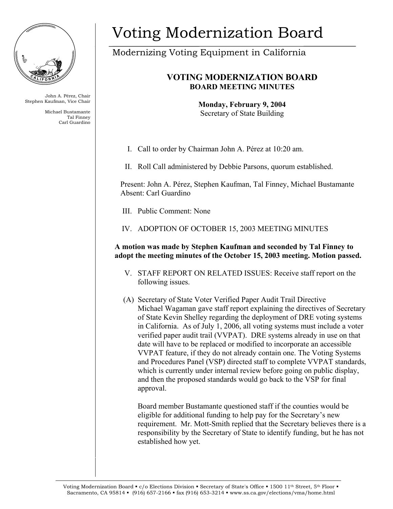

John A. Pérez, Chair Stephen Kaufman, Vice Chair

> Michael Bustamante Tal Finney Carl Guardino

# Voting Modernization Board

Modernizing Voting Equipment in California

## **VOTING MODERNIZATION BOARD BOARD MEETING MINUTES**

**Monday, February 9, 2004**  Secretary of State Building

I. Call to order by Chairman John A. Pérez at 10:20 am.

II. Roll Call administered by Debbie Parsons, quorum established.

Present: John A. Pérez, Stephen Kaufman, Tal Finney, Michael Bustamante Absent: Carl Guardino

III. Public Comment: None

IV. ADOPTION OF OCTOBER 15, 2003 MEETING MINUTES

**A motion was made by Stephen Kaufman and seconded by Tal Finney to adopt the meeting minutes of the October 15, 2003 meeting. Motion passed.** 

- V. STAFF REPORT ON RELATED ISSUES: Receive staff report on the following issues.
- (A) Secretary of State Voter Verified Paper Audit Trail Directive Michael Wagaman gave staff report explaining the directives of Secretary of State Kevin Shelley regarding the deployment of DRE voting systems in California. As of July 1, 2006, all voting systems must include a voter verified paper audit trail (VVPAT). DRE systems already in use on that date will have to be replaced or modified to incorporate an accessible VVPAT feature, if they do not already contain one. The Voting Systems and Procedures Panel (VSP) directed staff to complete VVPAT standards, which is currently under internal review before going on public display, and then the proposed standards would go back to the VSP for final approval.

Board member Bustamante questioned staff if the counties would be eligible for additional funding to help pay for the Secretary's new requirement. Mr. Mott-Smith replied that the Secretary believes there is a responsibility by the Secretary of State to identify funding, but he has not established how yet.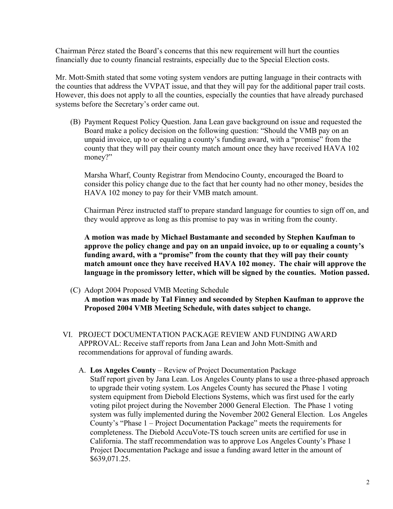Chairman Pérez stated the Board's concerns that this new requirement will hurt the counties financially due to county financial restraints, especially due to the Special Election costs.

Mr. Mott-Smith stated that some voting system vendors are putting language in their contracts with the counties that address the VVPAT issue, and that they will pay for the additional paper trail costs. However, this does not apply to all the counties, especially the counties that have already purchased systems before the Secretary's order came out.

(B) Payment Request Policy Question. Jana Lean gave background on issue and requested the Board make a policy decision on the following question: "Should the VMB pay on an unpaid invoice, up to or equaling a county's funding award, with a "promise" from the county that they will pay their county match amount once they have received HAVA 102 money?"

Marsha Wharf, County Registrar from Mendocino County, encouraged the Board to consider this policy change due to the fact that her county had no other money, besides the HAVA 102 money to pay for their VMB match amount.

Chairman Pérez instructed staff to prepare standard language for counties to sign off on, and they would approve as long as this promise to pay was in writing from the county.

**A motion was made by Michael Bustamante and seconded by Stephen Kaufman to approve the policy change and pay on an unpaid invoice, up to or equaling a county's funding award, with a "promise" from the county that they will pay their county match amount once they have received HAVA 102 money. The chair will approve the language in the promissory letter, which will be signed by the counties. Motion passed.**

(C) Adopt 2004 Proposed VMB Meeting Schedule

**A motion was made by Tal Finney and seconded by Stephen Kaufman to approve the Proposed 2004 VMB Meeting Schedule, with dates subject to change.** 

- VI. PROJECT DOCUMENTATION PACKAGE REVIEW AND FUNDING AWARD APPROVAL: Receive staff reports from Jana Lean and John Mott-Smith and recommendations for approval of funding awards.
	- A. **Los Angeles County** Review of Project Documentation Package Staff report given by Jana Lean. Los Angeles County plans to use a three-phased approach to upgrade their voting system. Los Angeles County has secured the Phase 1 voting system equipment from Diebold Elections Systems, which was first used for the early voting pilot project during the November 2000 General Election. The Phase 1 voting system was fully implemented during the November 2002 General Election. Los Angeles County's "Phase 1 – Project Documentation Package" meets the requirements for completeness. The Diebold AccuVote-TS touch screen units are certified for use in California. The staff recommendation was to approve Los Angeles County's Phase 1 Project Documentation Package and issue a funding award letter in the amount of \$639,071.25.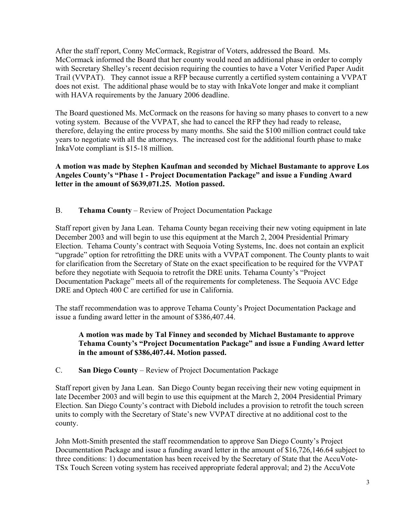After the staff report, Conny McCormack, Registrar of Voters, addressed the Board. Ms. McCormack informed the Board that her county would need an additional phase in order to comply with Secretary Shelley's recent decision requiring the counties to have a Voter Verified Paper Audit Trail (VVPAT). They cannot issue a RFP because currently a certified system containing a VVPAT does not exist. The additional phase would be to stay with InkaVote longer and make it compliant with HAVA requirements by the January 2006 deadline.

The Board questioned Ms. McCormack on the reasons for having so many phases to convert to a new voting system. Because of the VVPAT, she had to cancel the RFP they had ready to release, therefore, delaying the entire process by many months. She said the \$100 million contract could take years to negotiate with all the attorneys. The increased cost for the additional fourth phase to make InkaVote compliant is \$15-18 million.

**A motion was made by Stephen Kaufman and seconded by Michael Bustamante to approve Los Angeles County's "Phase 1 - Project Documentation Package" and issue a Funding Award letter in the amount of \$639,071.25. Motion passed.** 

B. **Tehama County** – Review of Project Documentation Package

Staff report given by Jana Lean. Tehama County began receiving their new voting equipment in late December 2003 and will begin to use this equipment at the March 2, 2004 Presidential Primary Election. Tehama County's contract with Sequoia Voting Systems, Inc. does not contain an explicit "upgrade" option for retrofitting the DRE units with a VVPAT component. The County plants to wait for clarification from the Secretary of State on the exact specification to be required for the VVPAT before they negotiate with Sequoia to retrofit the DRE units. Tehama County's "Project Documentation Package" meets all of the requirements for completeness. The Sequoia AVC Edge DRE and Optech 400 C are certified for use in California.

The staff recommendation was to approve Tehama County's Project Documentation Package and issue a funding award letter in the amount of \$386,407.44.

#### **A motion was made by Tal Finney and seconded by Michael Bustamante to approve Tehama County's "Project Documentation Package" and issue a Funding Award letter in the amount of \$386,407.44. Motion passed.**

C. **San Diego County** – Review of Project Documentation Package

Staff report given by Jana Lean. San Diego County began receiving their new voting equipment in late December 2003 and will begin to use this equipment at the March 2, 2004 Presidential Primary Election. San Diego County's contract with Diebold includes a provision to retrofit the touch screen units to comply with the Secretary of State's new VVPAT directive at no additional cost to the county.

John Mott-Smith presented the staff recommendation to approve San Diego County's Project Documentation Package and issue a funding award letter in the amount of \$16,726,146.64 subject to three conditions: 1) documentation has been received by the Secretary of State that the AccuVote-TSx Touch Screen voting system has received appropriate federal approval; and 2) the AccuVote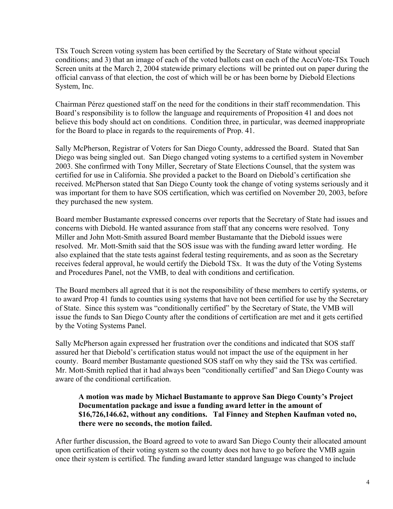TSx Touch Screen voting system has been certified by the Secretary of State without special conditions; and 3) that an image of each of the voted ballots cast on each of the AccuVote-TSx Touch Screen units at the March 2, 2004 statewide primary elections will be printed out on paper during the official canvass of that election, the cost of which will be or has been borne by Diebold Elections System, Inc.

Chairman Pérez questioned staff on the need for the conditions in their staff recommendation. This Board's responsibility is to follow the language and requirements of Proposition 41 and does not believe this body should act on conditions. Condition three, in particular, was deemed inappropriate for the Board to place in regards to the requirements of Prop. 41.

Sally McPherson, Registrar of Voters for San Diego County, addressed the Board. Stated that San Diego was being singled out. San Diego changed voting systems to a certified system in November 2003. She confirmed with Tony Miller, Secretary of State Elections Counsel, that the system was certified for use in California. She provided a packet to the Board on Diebold's certification she received. McPherson stated that San Diego County took the change of voting systems seriously and it was important for them to have SOS certification, which was certified on November 20, 2003, before they purchased the new system.

Board member Bustamante expressed concerns over reports that the Secretary of State had issues and concerns with Diebold. He wanted assurance from staff that any concerns were resolved. Tony Miller and John Mott-Smith assured Board member Bustamante that the Diebold issues were resolved. Mr. Mott-Smith said that the SOS issue was with the funding award letter wording. He also explained that the state tests against federal testing requirements, and as soon as the Secretary receives federal approval, he would certify the Diebold TSx. It was the duty of the Voting Systems and Procedures Panel, not the VMB, to deal with conditions and certification.

The Board members all agreed that it is not the responsibility of these members to certify systems, or to award Prop 41 funds to counties using systems that have not been certified for use by the Secretary of State. Since this system was "conditionally certified" by the Secretary of State, the VMB will issue the funds to San Diego County after the conditions of certification are met and it gets certified by the Voting Systems Panel.

Sally McPherson again expressed her frustration over the conditions and indicated that SOS staff assured her that Diebold's certification status would not impact the use of the equipment in her county. Board member Bustamante questioned SOS staff on why they said the TSx was certified. Mr. Mott-Smith replied that it had always been "conditionally certified" and San Diego County was aware of the conditional certification.

#### **A motion was made by Michael Bustamante to approve San Diego County's Project Documentation package and issue a funding award letter in the amount of \$16,726,146.62, without any conditions. Tal Finney and Stephen Kaufman voted no, there were no seconds, the motion failed.**

After further discussion, the Board agreed to vote to award San Diego County their allocated amount upon certification of their voting system so the county does not have to go before the VMB again once their system is certified. The funding award letter standard language was changed to include